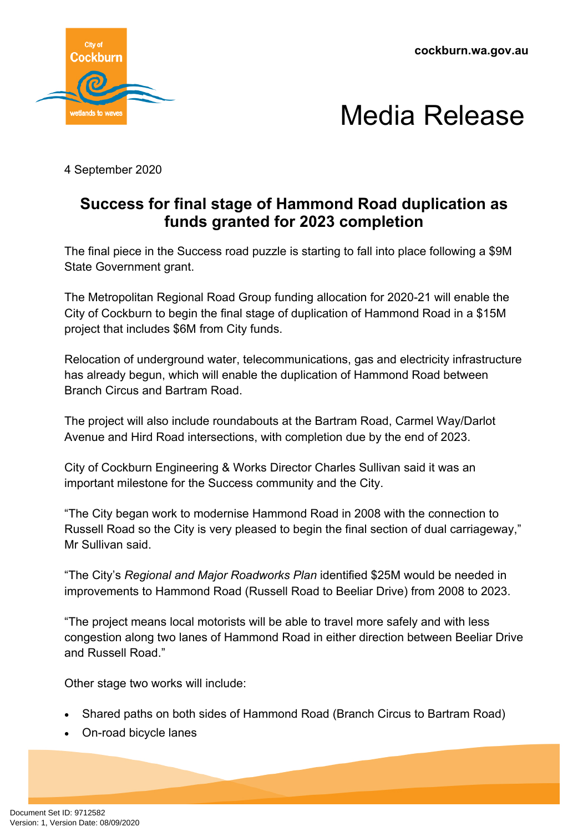**cockburn.wa.gov.au**





4 September 2020

## **Success for final stage of Hammond Road duplication as funds granted for 2023 completion**

The final piece in the Success road puzzle is starting to fall into place following a \$9M State Government grant.

The Metropolitan Regional Road Group funding allocation for 2020-21 will enable the City of Cockburn to begin the final stage of duplication of Hammond Road in a \$15M project that includes \$6M from City funds.

Relocation of underground water, telecommunications, gas and electricity infrastructure has already begun, which will enable the duplication of Hammond Road between Branch Circus and Bartram Road.

The project will also include roundabouts at the Bartram Road, Carmel Way/Darlot Avenue and Hird Road intersections, with completion due by the end of 2023.

City of Cockburn Engineering & Works Director Charles Sullivan said it was an important milestone for the Success community and the City.

"The City began work to modernise Hammond Road in 2008 with the connection to Russell Road so the City is very pleased to begin the final section of dual carriageway," Mr Sullivan said.

"The City's *Regional and Major Roadworks Plan* identified \$25M would be needed in improvements to Hammond Road (Russell Road to Beeliar Drive) from 2008 to 2023.

"The project means local motorists will be able to travel more safely and with less congestion along two lanes of Hammond Road in either direction between Beeliar Drive and Russell Road."

Other stage two works will include:

- Shared paths on both sides of Hammond Road (Branch Circus to Bartram Road)
- On-road bicycle lanes